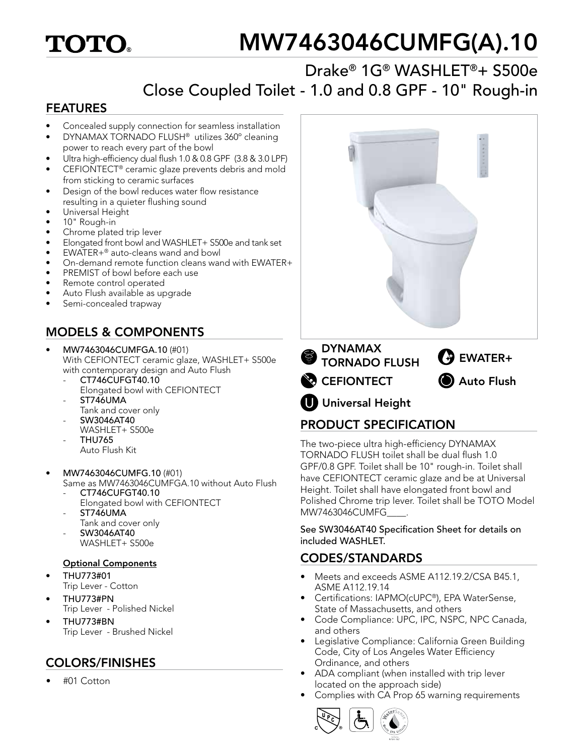## **TOTO**

# MW7463046CUMFG(A).10

### Drake® 1G® WASHLET®+ S500e Close Coupled Toilet - 1.0 and 0.8 GPF - 10" Rough-in

#### FEATURES

- Concealed supply connection for seamless installation
- DYNAMAX TORNADO FLUSH® utilizes 360º cleaning power to reach every part of the bowl
- Ultra high-efficiency dual flush 1.0 & 0.8 GPF (3.8 & 3.0 LPF)
- CEFIONTECT® ceramic glaze prevents debris and mold from sticking to ceramic surfaces
- Design of the bowl reduces water flow resistance resulting in a quieter flushing sound
- Universal Height
- 10" Rough-in
- Chrome plated trip lever
- Elongated front bowl and WASHLET+ S500e and tank set
- EWATER+® auto-cleans wand and bowl
- On-demand remote function cleans wand with EWATER+
- PREMIST of bowl before each use
- Remote control operated
- Auto Flush available as upgrade
- Semi-concealed trapway

#### MODELS & COMPONENTS

- MW7463046CUMFGA.10 (#01) With CEFIONTECT ceramic glaze, WASHLET+ S500e with contemporary design and Auto Flush
	- CT746CUFGT40.10 Elongated bowl with CEFIONTECT
	- ST746UMA
	- Tank and cover only - SW3046AT40
	- WASHLET+ S500e - THU765
	- Auto Flush Kit
- MW7463046CUMFG.10 (#01)
	- Same as MW7463046CUMFGA.10 without Auto Flush - CT746CUFGT40.10
	- Elongated bowl with CEFIONTECT
	- ST746UMA
		- Tank and cover only
	- SW3046AT40
	- WASHLET+ S500e

#### Optional Components

- THU773#01 Trip Lever - Cotton
- THU773#PN Trip Lever - Polished Nickel
- THU773#BN Trip Lever - Brushed Nickel

#### COLORS/FINISHES

• #01 Cotton



#### PRODUCT SPECIFICATION

The two-piece ultra high-efficiency DYNAMAX TORNADO FLUSH toilet shall be dual flush 1.0 GPF/0.8 GPF. Toilet shall be 10" rough-in. Toilet shall have CEFIONTECT ceramic glaze and be at Universal Height. Toilet shall have elongated front bowl and Polished Chrome trip lever. Toilet shall be TOTO Model MW7463046CUMFG\_\_\_\_.

See SW3046AT40 Specification Sheet for details on included WASHLET.

#### CODES/STANDARDS

- Meets and exceeds ASME A112.19.2/CSA B45.1, ASME A112.19.14
- Certifications: IAPMO(cUPC®), EPA WaterSense, State of Massachusetts, and others
- Code Compliance: UPC, IPC, NSPC, NPC Canada, and others
- Legislative Compliance: California Green Building Code, City of Los Angeles Water Efficiency Ordinance, and others
- ADA compliant (when installed with trip lever located on the approach side)
- Complies with CA Prop 65 warning requirements